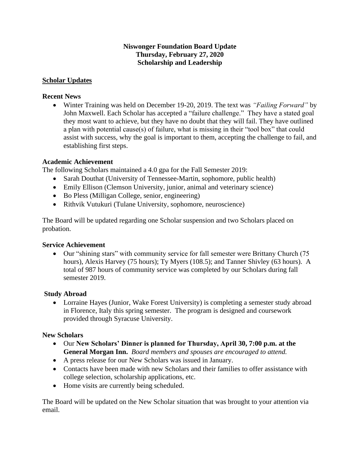## **Niswonger Foundation Board Update Thursday, February 27, 2020 Scholarship and Leadership**

## **Scholar Updates**

#### **Recent News**

• Winter Training was held on December 19-20, 2019. The text was *"Failing Forward"* by John Maxwell. Each Scholar has accepted a "failure challenge." They have a stated goal they most want to achieve, but they have no doubt that they will fail. They have outlined a plan with potential cause(s) of failure, what is missing in their "tool box" that could assist with success, why the goal is important to them, accepting the challenge to fail, and establishing first steps.

#### **Academic Achievement**

The following Scholars maintained a 4.0 gpa for the Fall Semester 2019:

- Sarah Douthat (University of Tennessee-Martin, sophomore, public health)
- Emily Ellison (Clemson University, junior, animal and veterinary science)
- Bo Pless (Milligan College, senior, engineering)
- Rithvik Vutukuri (Tulane University, sophomore, neuroscience)

The Board will be updated regarding one Scholar suspension and two Scholars placed on probation.

## **Service Achievement**

• Our "shining stars" with community service for fall semester were Brittany Church (75) hours), Alexis Harvey (75 hours); Ty Myers (108.5); and Tanner Shivley (63 hours). A total of 987 hours of community service was completed by our Scholars during fall semester 2019.

## **Study Abroad**

• Lorraine Hayes (Junior, Wake Forest University) is completing a semester study abroad in Florence, Italy this spring semester. The program is designed and coursework provided through Syracuse University.

## **New Scholars**

- Our **New Scholars' Dinner is planned for Thursday, April 30, 7:00 p.m. at the General Morgan Inn.** *Board members and spouses are encouraged to attend.*
- A press release for our New Scholars was issued in January.
- Contacts have been made with new Scholars and their families to offer assistance with college selection, scholarship applications, etc.
- Home visits are currently being scheduled.

The Board will be updated on the New Scholar situation that was brought to your attention via email.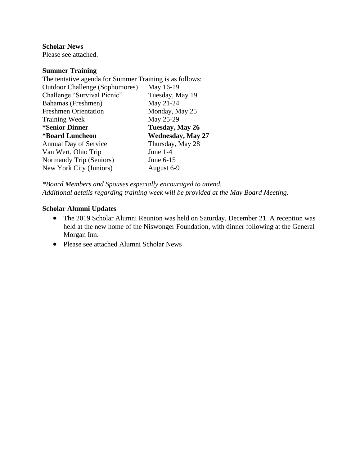**Scholar News**

Please see attached.

#### **Summer Training**

| The tentative agenda for Summer Training is as follows: |  |
|---------------------------------------------------------|--|
| May 16-19                                               |  |
| Tuesday, May 19                                         |  |
| May 21-24                                               |  |
| Monday, May 25                                          |  |
| May 25-29                                               |  |
| Tuesday, May 26                                         |  |
| <b>Wednesday, May 27</b>                                |  |
| Thursday, May 28                                        |  |
| June $1-4$                                              |  |
| June 6-15                                               |  |
| August 6-9                                              |  |
|                                                         |  |

*\*Board Members and Spouses especially encouraged to attend. Additional details regarding training week will be provided at the May Board Meeting.* 

# **Scholar Alumni Updates**

- The 2019 Scholar Alumni Reunion was held on Saturday, December 21. A reception was held at the new home of the Niswonger Foundation, with dinner following at the General Morgan Inn.
- Please see attached Alumni Scholar News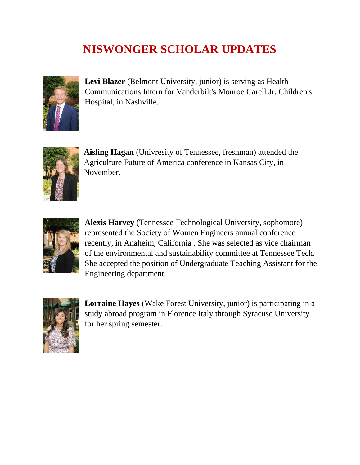# **NISWONGER SCHOLAR UPDATES**



**Levi Blazer** (Belmont University, junior) is serving as Health Communications Intern for Vanderbilt's Monroe Carell Jr. Children's Hospital, in Nashville.



**Aisling Hagan** (Univresity of Tennessee, freshman) attended the Agriculture Future of America conference in Kansas City, in November.



**Alexis Harvey** (Tennessee Technological University, sophomore) represented the Society of Women Engineers annual conference recently, in Anaheim, California . She was selected as vice chairman of the environmental and sustainability committee at Tennessee Tech. She accepted the position of Undergraduate Teaching Assistant for the Engineering department.



**Lorraine Hayes** (Wake Forest University, junior) is participating in a study abroad program in Florence Italy through Syracuse University for her spring semester.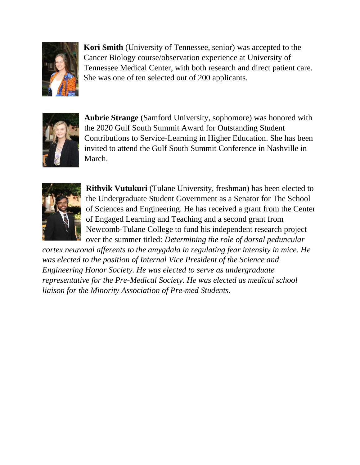

**Kori Smith** (University of Tennessee, senior) was accepted to the Cancer Biology course/observation experience at University of Tennessee Medical Center, with both research and direct patient care. She was one of ten selected out of 200 applicants.



**Aubrie Strange** (Samford University, sophomore) was honored with the 2020 Gulf South Summit Award for Outstanding Student Contributions to Service-Learning in Higher Education. She has been invited to attend the Gulf South Summit Conference in Nashville in March.



**Rithvik Vutukuri** (Tulane University, freshman) has been elected to the Undergraduate Student Government as a Senator for The School of Sciences and Engineering. He has received a grant from the Center of Engaged Learning and Teaching and a second grant from Newcomb-Tulane College to fund his independent research project over the summer titled: *Determining the role of dorsal peduncular* 

*cortex neuronal afferents to the amygdala in regulating fear intensity in mice. He was elected to the position of Internal Vice President of the Science and Engineering Honor Society. He was elected to serve as undergraduate representative for the Pre-Medical Society. He was elected as medical school liaison for the Minority Association of Pre-med Students.*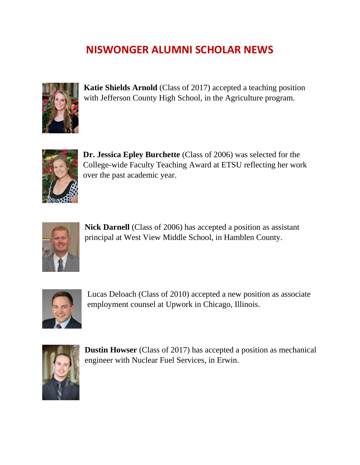# **NISWONGER ALUMNI SCHOLAR NEWS**



**Katie Shields Arnold** (Class of 2017) accepted a teaching position with Jefferson County High School, in the Agriculture program.



**Dr. Jessica Epley Burchette** (Class of 2006) was selected for the College-wide Faculty Teaching Award at ETSU reflecting her work over the past academic year.



**Nick Darnell** (Class of 2006) has accepted a position as assistant principal at West View Middle School, in Hamblen County.



Lucas Deloach (Class of 2010) accepted a new position as associate employment counsel at Upwork in Chicago, Illinois.



**Dustin Howser** (Class of 2017) has accepted a position as mechanical engineer with Nuclear Fuel Services, in Erwin.